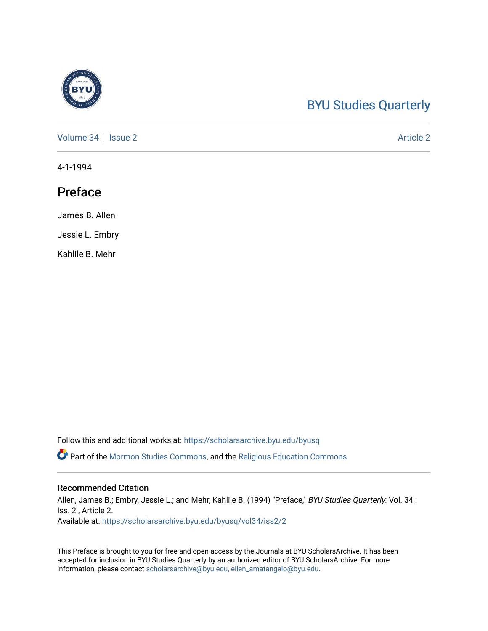## [BYU Studies Quarterly](https://scholarsarchive.byu.edu/byusq)

[Volume 34](https://scholarsarchive.byu.edu/byusq/vol34) | [Issue 2](https://scholarsarchive.byu.edu/byusq/vol34/iss2) Article 2

4-1-1994

### Preface

James B. Allen

Jessie L. Embry

Kahlile B. Mehr

Follow this and additional works at: [https://scholarsarchive.byu.edu/byusq](https://scholarsarchive.byu.edu/byusq?utm_source=scholarsarchive.byu.edu%2Fbyusq%2Fvol34%2Fiss2%2F2&utm_medium=PDF&utm_campaign=PDFCoverPages) 

Part of the [Mormon Studies Commons](http://network.bepress.com/hgg/discipline/1360?utm_source=scholarsarchive.byu.edu%2Fbyusq%2Fvol34%2Fiss2%2F2&utm_medium=PDF&utm_campaign=PDFCoverPages), and the [Religious Education Commons](http://network.bepress.com/hgg/discipline/1414?utm_source=scholarsarchive.byu.edu%2Fbyusq%2Fvol34%2Fiss2%2F2&utm_medium=PDF&utm_campaign=PDFCoverPages) 

#### Recommended Citation

Allen, James B.; Embry, Jessie L.; and Mehr, Kahlile B. (1994) "Preface," BYU Studies Quarterly: Vol. 34 : Iss. 2 , Article 2. Available at: [https://scholarsarchive.byu.edu/byusq/vol34/iss2/2](https://scholarsarchive.byu.edu/byusq/vol34/iss2/2?utm_source=scholarsarchive.byu.edu%2Fbyusq%2Fvol34%2Fiss2%2F2&utm_medium=PDF&utm_campaign=PDFCoverPages)

This Preface is brought to you for free and open access by the Journals at BYU ScholarsArchive. It has been accepted for inclusion in BYU Studies Quarterly by an authorized editor of BYU ScholarsArchive. For more information, please contact [scholarsarchive@byu.edu, ellen\\_amatangelo@byu.edu.](mailto:scholarsarchive@byu.edu,%20ellen_amatangelo@byu.edu)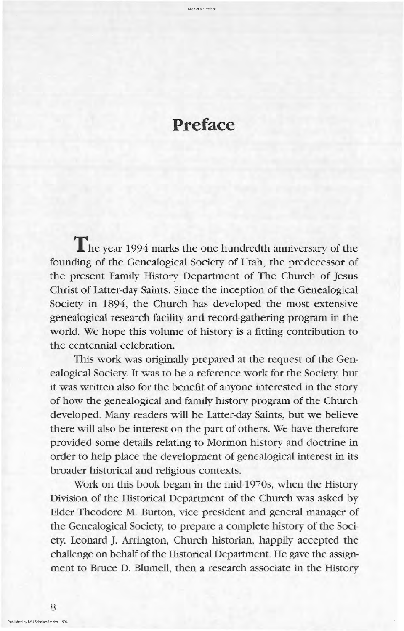1

# **Preface**

The year 1994 marks the one hundredth anniversary of the founding of the Genealogical Society of Utah, the predecessor of the present Family History Department of The Church of Jesus Christ of Latter-day Saints. Since the inception of the Genealogical Society in 1894, the Church has developed the most extensive genealogical research facility and record gathering program in the world. We hope this volume of history is a fitting contribution to the centennial celebration This work was originally prepared at the request of the Genealogical Society. It was to be a reference work for the Society, but it was written also for the benefit of anyone interested in the story of how the genealogical and family history program of the church developed. Many readers will be Latter-day Saints, but we believe there will also be interest on the part of others. We have therefore provided some details relating to mormon history and doctrine in order to help place the development of genealogical interest in its broader historical and religious contexts Work on this book began in the mid-1970s, when the History Division of the Historical Department of the Church was asked by Elder Theodore M. Burton, vice president and general manager of the Genealogical Society, to prepare a complete history of the Society. Leonard J. Arrington, Church historian, happily accepted the challenge on behalf of the Historical Department. He gave the assignment to Bruce D. Blumell, then a research associate in the History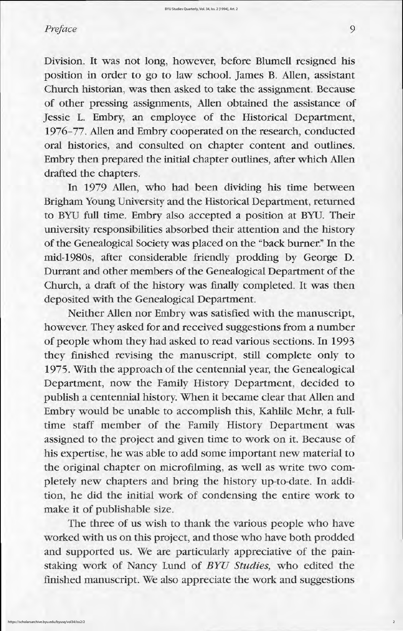Division. It was not long, however, before Blumell resigned his position in order to go to law school. James B. Allen, assistant Church historian, was then asked to take the assignment. Because of other pressing assignments, Allen obtained the assistance of Jessie L. Embry, an employee of the Historical Department, 1976–77. Allen and Embry cooperated on the research, conducted oral histories, and consulted on chapter content and outlines. Embry then prepared the initial chapter outlines, after which Allen drafted the chapters

In 1979 Allen, who had been dividing his time between Brigham Young University and the Historical Department, returned to BYU full time. Embry also accepted a position at BYU. Their university responsibilities absorbed their attention and the history of the Genealogical Society was placed on the "back burner." In the mid 1980s, after considerable friendly prodding by George D. Durrant and other members of the Genealogical Department of the Church, a draft of the history was finally completed. It was then deposited with the Genealogical Department.

Neither Allen nor Embry was satisfied with the manuscript, however. They asked for and received suggestions from a number of people whom they had asked to read various sections. In 1993 they finished revising the manuscript, still complete only to 1975. With the approach of the centennial year, the Genealogical Department, now the Family History Department, decided to publish a centennial history. When it became clear that Allen and Embry would be unable to accomplish this, Kahlile Mehr, a fulltime staff member of the Family History Department was assigned to the project and given time to work on it. Because of his expertise, he was able to add some important new material to the original chapter on microfilming, as well as write two completely new chapters and bring the history up-to-date. In addition, he did the initial work of condensing the entire work to make it of publishable size.

The three of us wish to thank the various people who have worked with us on this project, and those who have both prodded and supported us. We are particularly appreciative of the painstaking work of Nancy Lund of BYU Studies, who edited the finished manuscript. We also appreciate the work and suggestions

# Preface 9